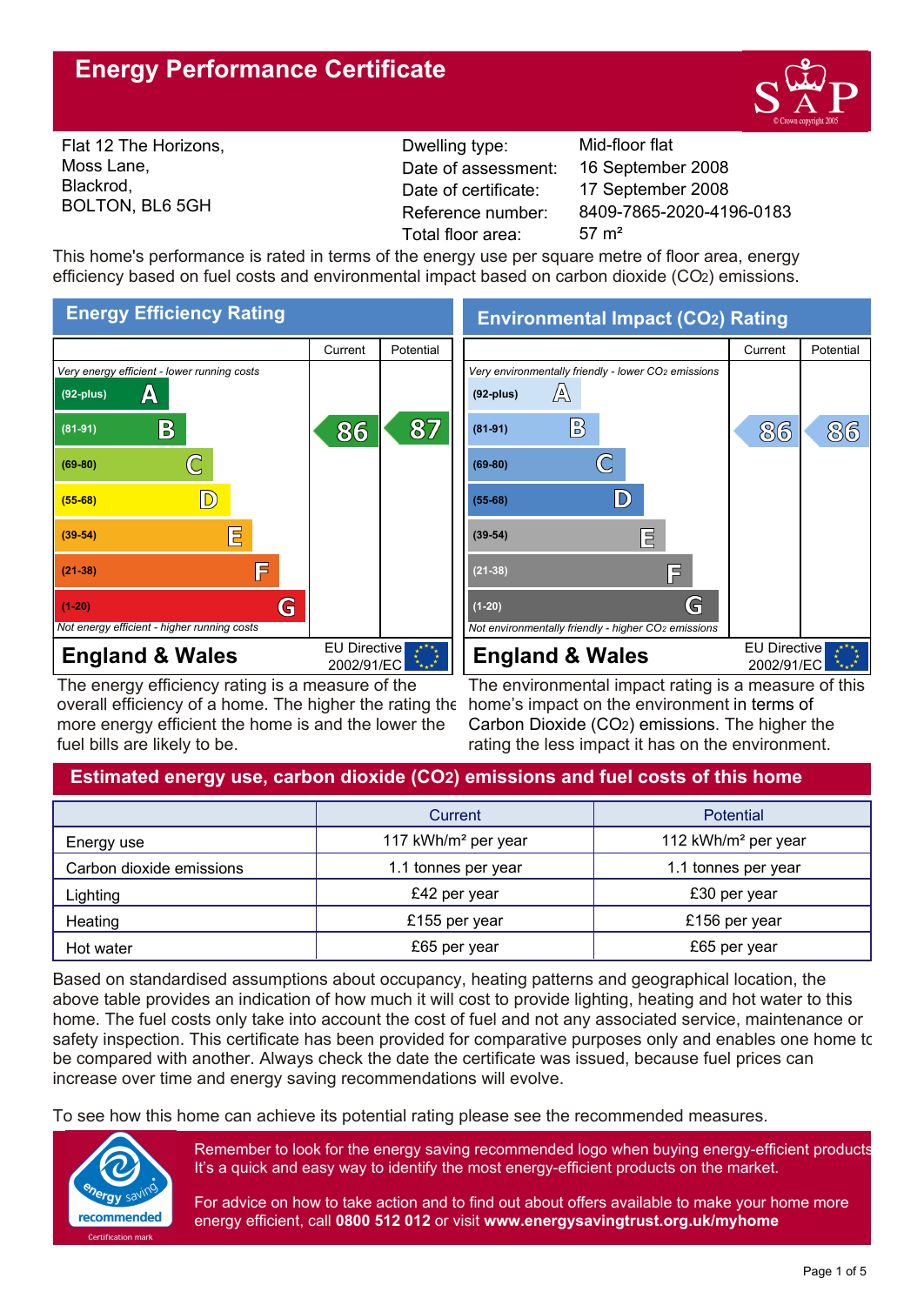# **Energy Performance Certificate**



Flat 12 The Horizons, Moss Lane, Blackrod, BOLTON, BL6 5GH Reference number:

Dwelling type: Mid-floor flat Date of certificate: Total floor area: 57 m<sup>2</sup> Date of assessment:

8409-7865-2020-4196-0183 17 September 2008 16 September 2008

This home's performance is rated in terms of the energy use per square metre of floor area, energy efficiency based on fuel costs and environmental impact based on carbon dioxide (CO2) emissions.



The energy efficiency rating is a measure of the overall efficiency of a home. The higher the rating the more energy efficient the home is and the lower the fuel bills are likely to be.

2002/91/EC The environmental impact rating is a measure of this home's impact on the environment in terms of Carbon Dioxide (CO2) emissions. The higher the rating the less impact it has on the environment.

肎

G

EU Directive

86

86

## **Estimated energy use, carbon dioxide (CO2) emissions and fuel costs of this home**

|                          | Current                         | <b>Potential</b>                |
|--------------------------|---------------------------------|---------------------------------|
| Energy use               | 117 kWh/m <sup>2</sup> per year | 112 kWh/m <sup>2</sup> per year |
| Carbon dioxide emissions | 1.1 tonnes per year             | 1.1 tonnes per year             |
| Lighting                 | £42 per year                    | £30 per year                    |
| Heating                  | £155 per year                   | £156 per year                   |
| Hot water                | £65 per year                    | £65 per year                    |

Based on standardised assumptions about occupancy, heating patterns and geographical location, the above table provides an indication of how much it will cost to provide lighting, heating and hot water to this home. The fuel costs only take into account the cost of fuel and not any associated service, maintenance or safety inspection. This certificate has been provided for comparative purposes only and enables one home to be compared with another. Always check the date the certificate was issued, because fuel prices can increase over time and energy saving recommendations will evolve.

To see how this home can achieve its potential rating please see the recommended measures.



Remember to look for the energy saving recommended logo when buying energy-efficient products. It's a quick and easy way to identify the most energy-efficient products on the market.

For advice on how to take action and to find out about offers available to make your home more energy efficient, call **0800 512 012** or visit **www.energysavingtrust.org.uk/myhome**

## **Environmental Impact (CO2) Rating**

 $\overline{C}$ 

 $\overline{D}$ 

尼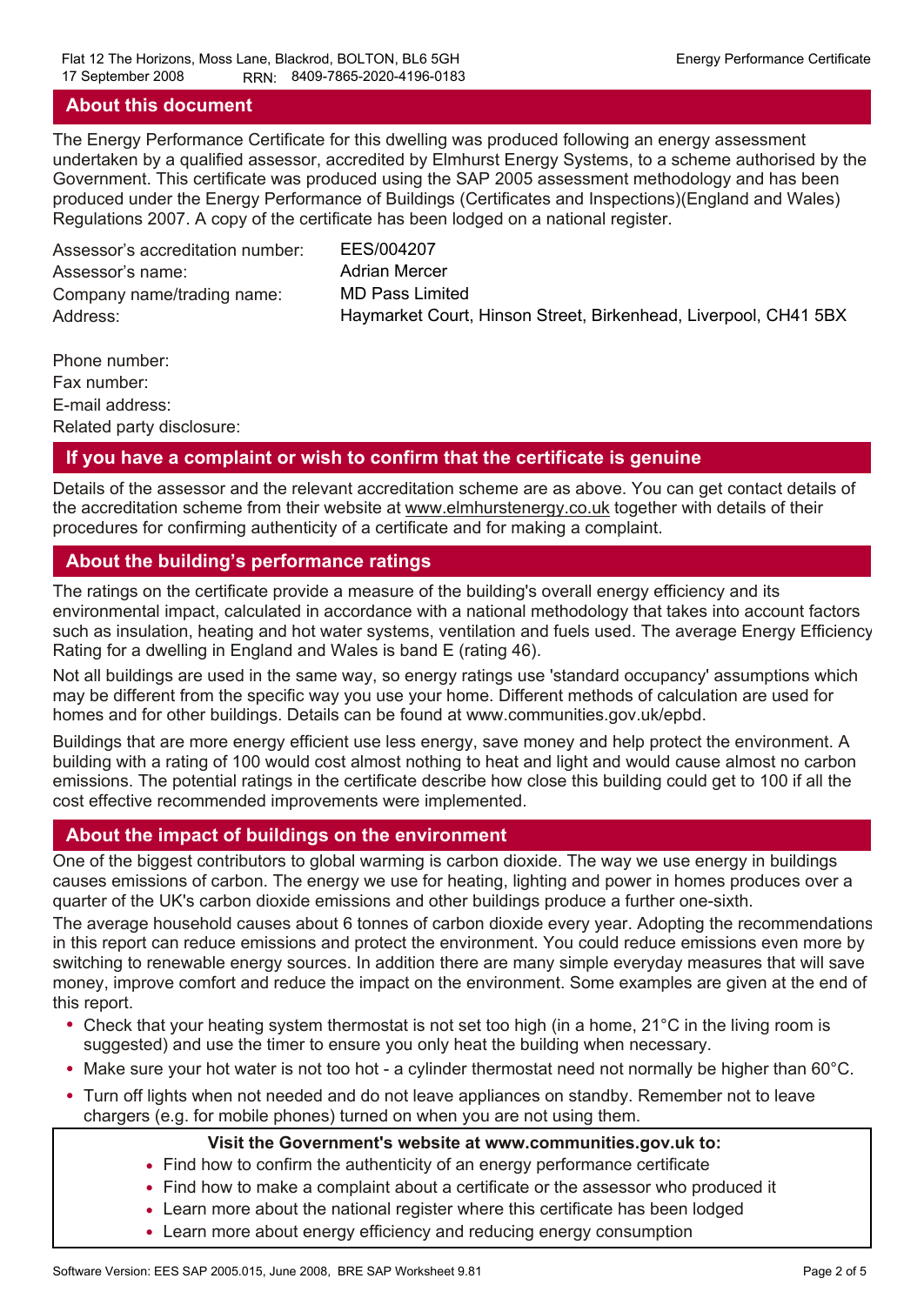#### **About this document**

The Energy Performance Certificate for this dwelling was produced following an energy assessment undertaken by a qualified assessor, accredited by Elmhurst Energy Systems, to a scheme authorised by the Government. This certificate was produced using the SAP 2005 assessment methodology and has been produced under the Energy Performance of Buildings (Certificates and Inspections)(England and Wales) Regulations 2007. A copy of the certificate has been lodged on a national register.

Assessor's accreditation number: Assessor's name: Company name/trading name: Address:

Adrian Mercer EES/004207 MD Pass Limited Haymarket Court, Hinson Street, Birkenhead, Liverpool, CH41 5BX

Fax number: Phone number: E-mail address: Related party disclosure:

### **If you have a complaint or wish to confirm that the certificate is genuine**

Details of the assessor and the relevant accreditation scheme are as above. You can get contact details of the accreditation scheme from their website at www.elmhurstenergy.co.uk together with details of their procedures for confirming authenticity of a certificate and for making a complaint.

### **About the building's performance ratings**

The ratings on the certificate provide a measure of the building's overall energy efficiency and its environmental impact, calculated in accordance with a national methodology that takes into account factors such as insulation, heating and hot water systems, ventilation and fuels used. The average Energy Efficiency Rating for a dwelling in England and Wales is band E (rating 46).

Not all buildings are used in the same way, so energy ratings use 'standard occupancy' assumptions which may be different from the specific way you use your home. Different methods of calculation are used for homes and for other buildings. Details can be found at www.communities.gov.uk/epbd.

Buildings that are more energy efficient use less energy, save money and help protect the environment. A building with a rating of 100 would cost almost nothing to heat and light and would cause almost no carbon emissions. The potential ratings in the certificate describe how close this building could get to 100 if all the cost effective recommended improvements were implemented.

### **About the impact of buildings on the environment**

One of the biggest contributors to global warming is carbon dioxide. The way we use energy in buildings causes emissions of carbon. The energy we use for heating, lighting and power in homes produces over a quarter of the UK's carbon dioxide emissions and other buildings produce a further one-sixth.

The average household causes about 6 tonnes of carbon dioxide every year. Adopting the recommendations in this report can reduce emissions and protect the environment. You could reduce emissions even more by switching to renewable energy sources. In addition there are many simple everyday measures that will save money, improve comfort and reduce the impact on the environment. Some examples are given at the end of this report.

- Check that your heating system thermostat is not set too high (in a home, 21°C in the living room is suggested) and use the timer to ensure you only heat the building when necessary.
- Make sure your hot water is not too hot a cylinder thermostat need not normally be higher than 60°C.
- Turn off lights when not needed and do not leave appliances on standby. Remember not to leave chargers (e.g. for mobile phones) turned on when you are not using them.

#### **Visit the Government's website at www.communities.gov.uk to:**

- Find how to confirm the authenticity of an energy performance certificate
- Find how to make a complaint about a certificate or the assessor who produced it
- Learn more about the national register where this certificate has been lodged  $\vert$ • Find how to confirm the authenticity of an energy performance certificate <br>• Find how to make a complaint about a certificate or the assessor who p<br>• Learn more about the national register where this certificate has been
-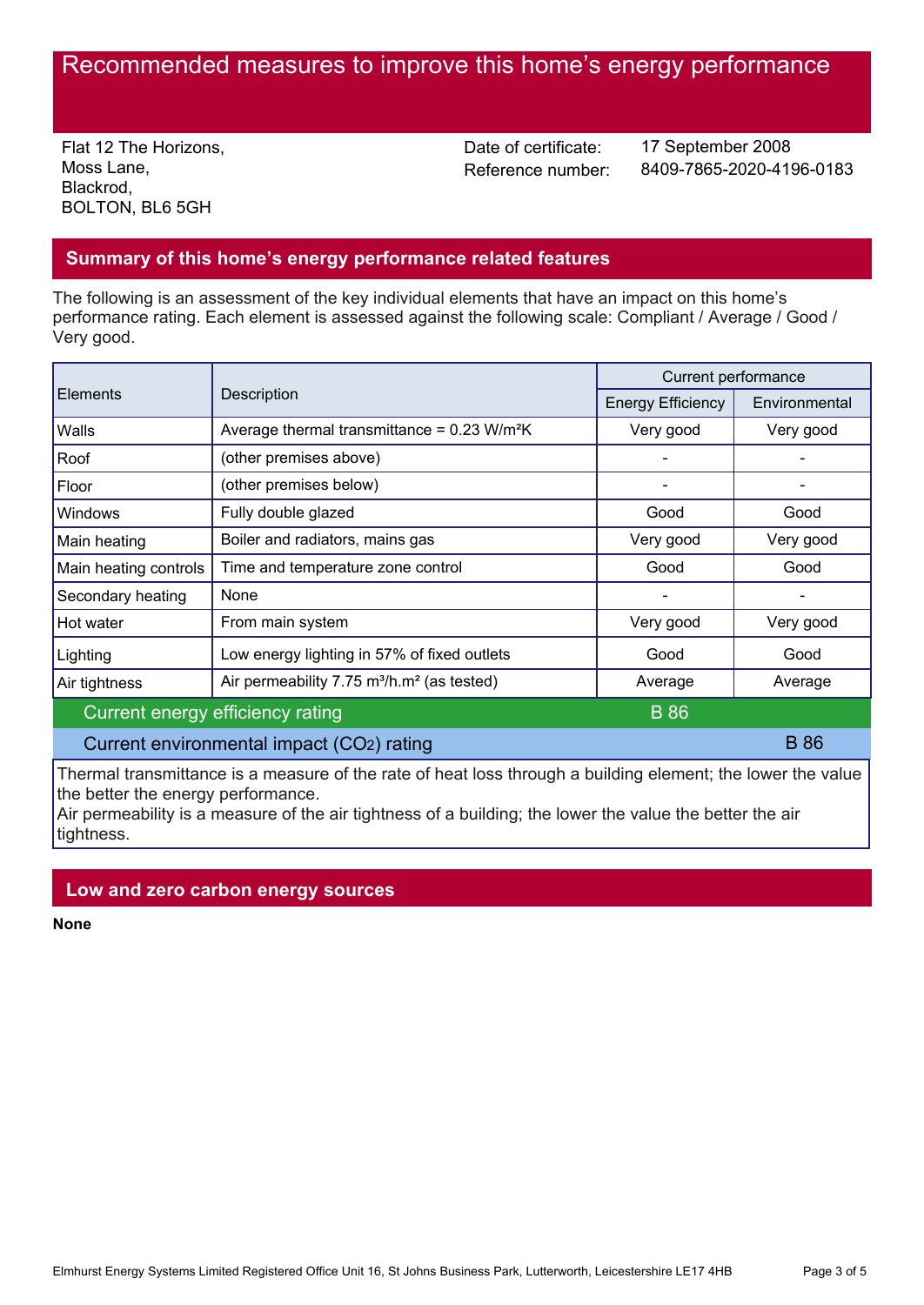## Recommended measures to improve this home's energy performance

Flat 12 The Horizons, Moss Lane, Blackrod, BOLTON, BL6 5GH

Date of certificate:

Reference number: 8409-7865-2020-4196-0183 17 September 2008

#### **Summary of this home's energy performance related features**

The following is an assessment of the key individual elements that have an impact on this home's performance rating. Each element is assessed against the following scale: Compliant / Average / Good / Very good.

| Elements                         | Description                                               | Current performance      |                          |
|----------------------------------|-----------------------------------------------------------|--------------------------|--------------------------|
|                                  |                                                           | <b>Energy Efficiency</b> | Environmental            |
| Walls                            | Average thermal transmittance = $0.23$ W/m <sup>2</sup> K | Very good                | Very good                |
| Roof                             | (other premises above)                                    |                          |                          |
| Floor                            | (other premises below)                                    |                          |                          |
| Windows                          | Fully double glazed                                       | Good                     | Good                     |
| Main heating                     | Boiler and radiators, mains gas                           | Very good                | Very good                |
| Main heating controls            | Time and temperature zone control                         | Good                     | Good                     |
| Secondary heating                | None                                                      |                          | $\overline{\phantom{0}}$ |
| Hot water                        | From main system                                          | Very good                | Very good                |
| Lighting                         | Low energy lighting in 57% of fixed outlets               | Good                     | Good                     |
| Air tightness                    | Air permeability 7.75 $m^3/h.m^2$ (as tested)             | Average                  | Average                  |
| Current energy efficiency rating |                                                           | <b>B</b> 86              |                          |
|                                  | Current environmental impact (CO2) rating                 |                          | <b>B</b> 86              |

Thermal transmittance is a measure of the rate of heat loss through a building element; the lower the value the better the energy performance.

Air permeability is a measure of the air tightness of a building; the lower the value the better the air tightness.

#### **Low and zero carbon energy sources**

**None**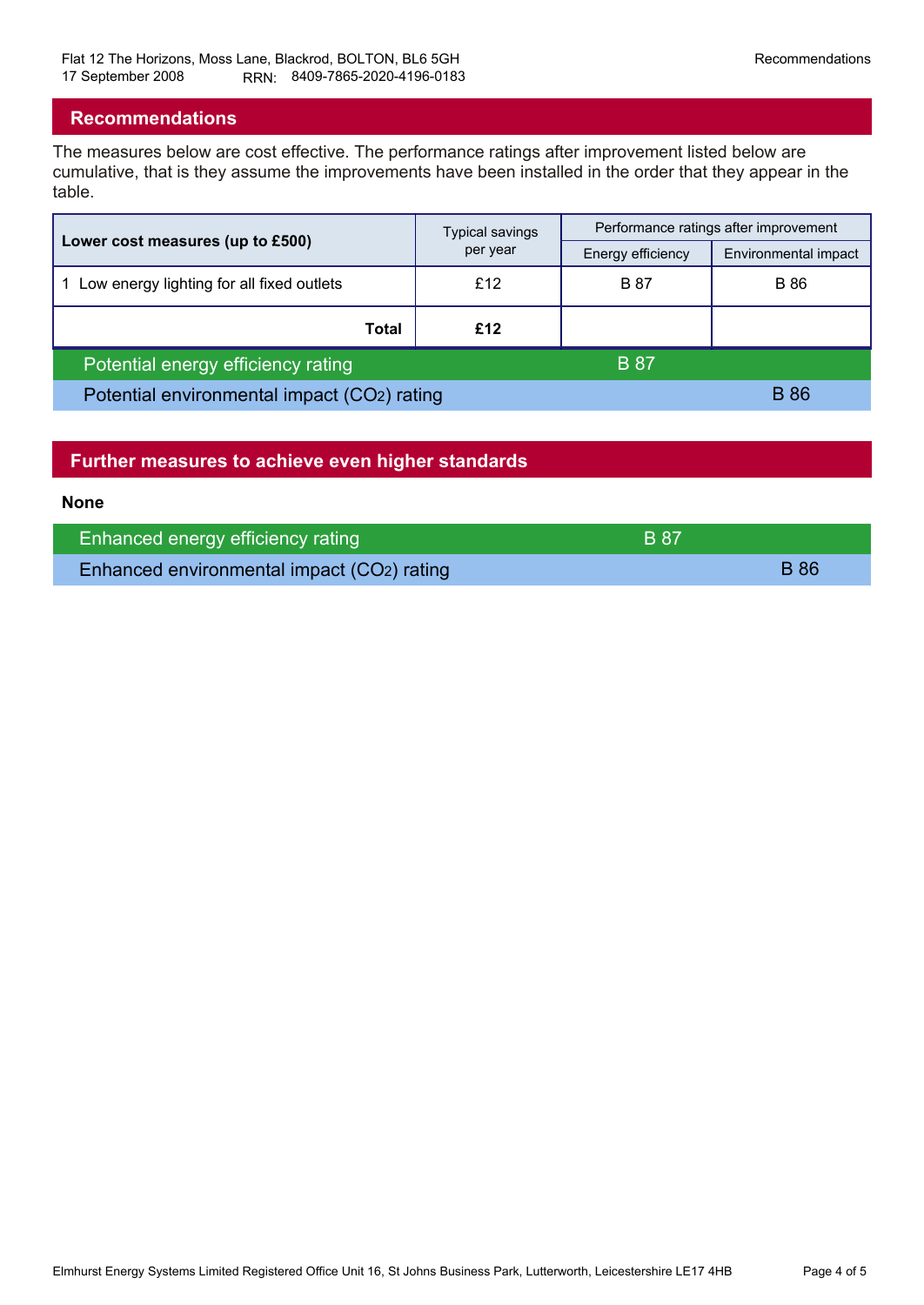#### **Recommendations**

The measures below are cost effective. The performance ratings after improvement listed below are cumulative, that is they assume the improvements have been installed in the order that they appear in the table.

|                                             | <b>Typical savings</b><br>per year | Performance ratings after improvement |                      |
|---------------------------------------------|------------------------------------|---------------------------------------|----------------------|
| Lower cost measures (up to £500)            |                                    | Energy efficiency                     | Environmental impact |
| Low energy lighting for all fixed outlets   | £12                                | B 87                                  | <b>B</b> 86          |
| Total                                       | £12                                |                                       |                      |
| Potential energy efficiency rating          |                                    | <b>B</b> 87                           |                      |
| Potential environmental impact (CO2) rating |                                    |                                       | <b>B</b> 86          |

## **Further measures to achieve even higher standards**

#### **None**

| Enhanced energy efficiency rating          | <b>B</b> 87 |             |  |
|--------------------------------------------|-------------|-------------|--|
| Enhanced environmental impact (CO2) rating |             | <b>B</b> 86 |  |